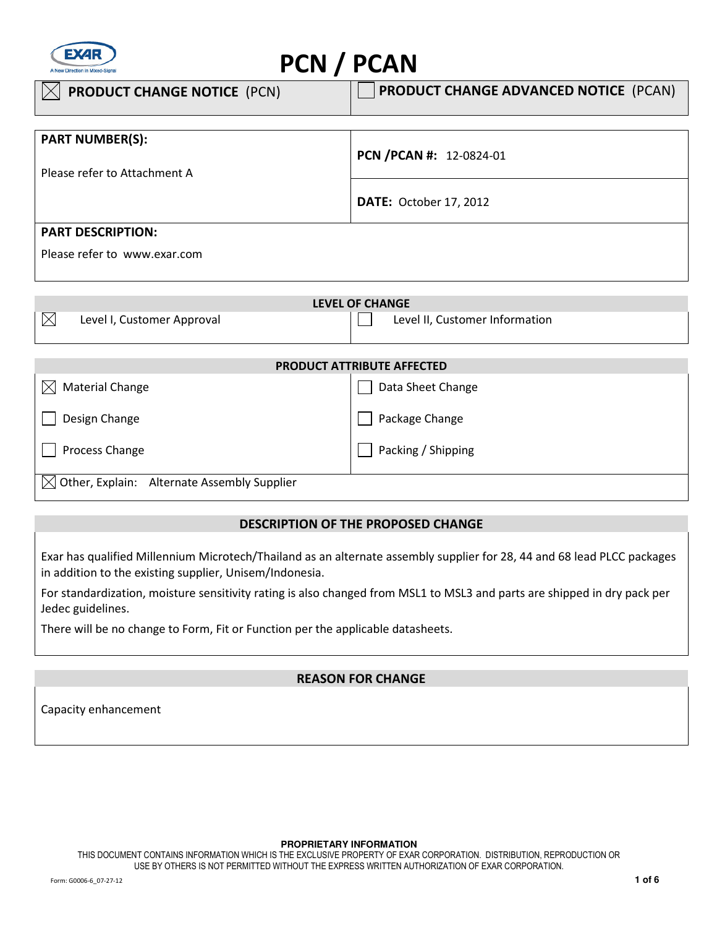

# PCN / PCAN

| $\vert\angle\vert$ PRODUCT CHANGE NOTICE (PCN) | <b>PRODUCT CHANGE ADVANCED NOTICE (PCAN)</b> |
|------------------------------------------------|----------------------------------------------|
|                                                |                                              |
| <b>PART NUMBER(S):</b>                         |                                              |
|                                                | PCN /PCAN #: 12-0824-01                      |
| Please refer to Attachment A                   |                                              |
|                                                | <b>DATE: October 17, 2012</b>                |
|                                                |                                              |
| <b>PART DESCRIPTION:</b>                       |                                              |
| Please refer to www.exar.com                   |                                              |

| <b>LEVEL OF CHANGE</b>                    |                                |  |
|-------------------------------------------|--------------------------------|--|
| $\boxtimes$<br>Level I, Customer Approval | Level II, Customer Information |  |
|                                           |                                |  |
| <b>PRODUCT ATTRIBUTE AFFECTED</b>         |                                |  |
| <b>Material Change</b><br>$\boxtimes$     | Data Sheet Change              |  |
| Design Change                             | Package Change                 |  |
| Process Change                            | Packing / Shipping             |  |

 $\boxtimes$  Other, Explain: Alternate Assembly Supplier

## DESCRIPTION OF THE PROPOSED CHANGE

Exar has qualified Millennium Microtech/Thailand as an alternate assembly supplier for 28, 44 and 68 lead PLCC packages in addition to the existing supplier, Unisem/Indonesia.

For standardization, moisture sensitivity rating is also changed from MSL1 to MSL3 and parts are shipped in dry pack per Jedec guidelines.

There will be no change to Form, Fit or Function per the applicable datasheets.

## REASON FOR CHANGE

Capacity enhancement

#### **PROPRIETARY INFORMATION**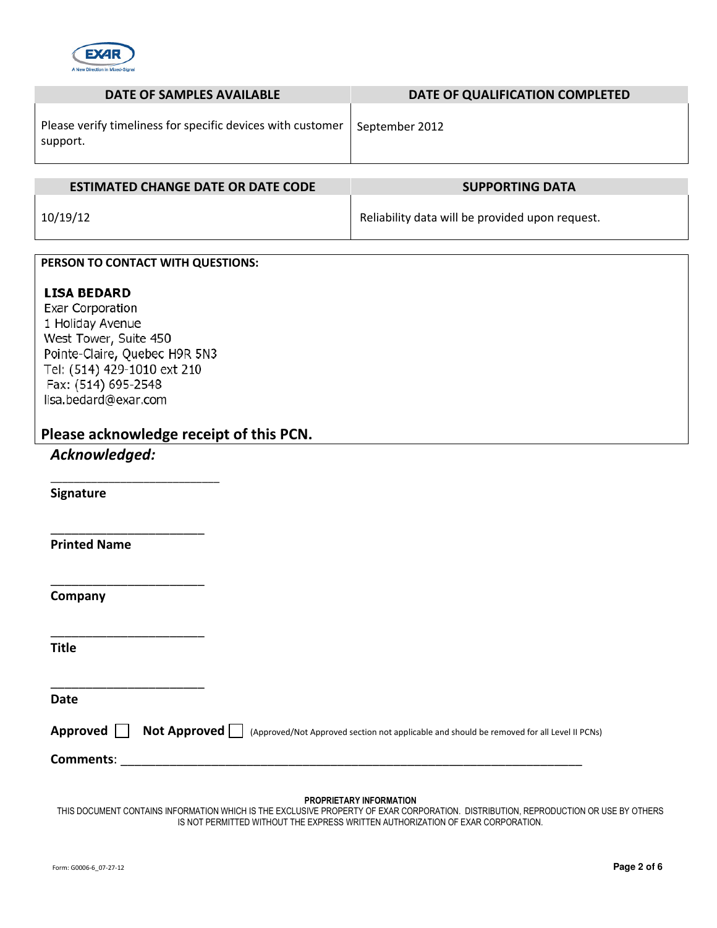

| <b>DATE OF SAMPLES AVAILABLE</b>                                        | DATE OF QUALIFICATION COMPLETED                 |
|-------------------------------------------------------------------------|-------------------------------------------------|
| Please verify timeliness for specific devices with customer<br>support. | September 2012                                  |
| <b>ESTIMATED CHANGE DATE OR DATE CODE</b>                               | <b>SUPPORTING DATA</b>                          |
|                                                                         |                                                 |
| 10/19/12                                                                | Reliability data will be provided upon request. |
|                                                                         |                                                 |
| PERSON TO CONTACT WITH QUESTIONS:                                       |                                                 |
| <b>LISA BEDARD</b><br>Exar Corporation                                  |                                                 |

1 Holiday Avenue West Tower, Suite 450 Pointe-Claire, Quebec H9R 5N3 Tel: (514) 429-1010 ext 210 Fax: (514) 695-2548 lisa.bedard@exar.com

\_\_\_\_\_\_\_\_\_\_\_\_\_\_\_\_\_\_\_\_\_\_\_\_\_\_\_\_\_

\_\_\_\_\_\_\_\_\_\_\_\_\_\_\_\_\_\_\_\_\_\_

\_\_\_\_\_\_\_\_\_\_\_\_\_\_\_\_\_\_\_\_\_\_

\_\_\_\_\_\_\_\_\_\_\_\_\_\_\_\_\_\_\_\_\_\_

 $\overline{\phantom{a}}$  , which is a set of the set of the set of the set of the set of the set of the set of the set of the set of the set of the set of the set of the set of the set of the set of the set of the set of the set of th

Please acknowledge receipt of this PCN.

## Acknowledged:

Signature

Printed Name

Company

**Title** 

Date

Approved **Not Approved** (Approved Approved/Not Approved section not applicable and should be removed for all Level II PCNs)

Comments:

#### PROPRIETARY INFORMATION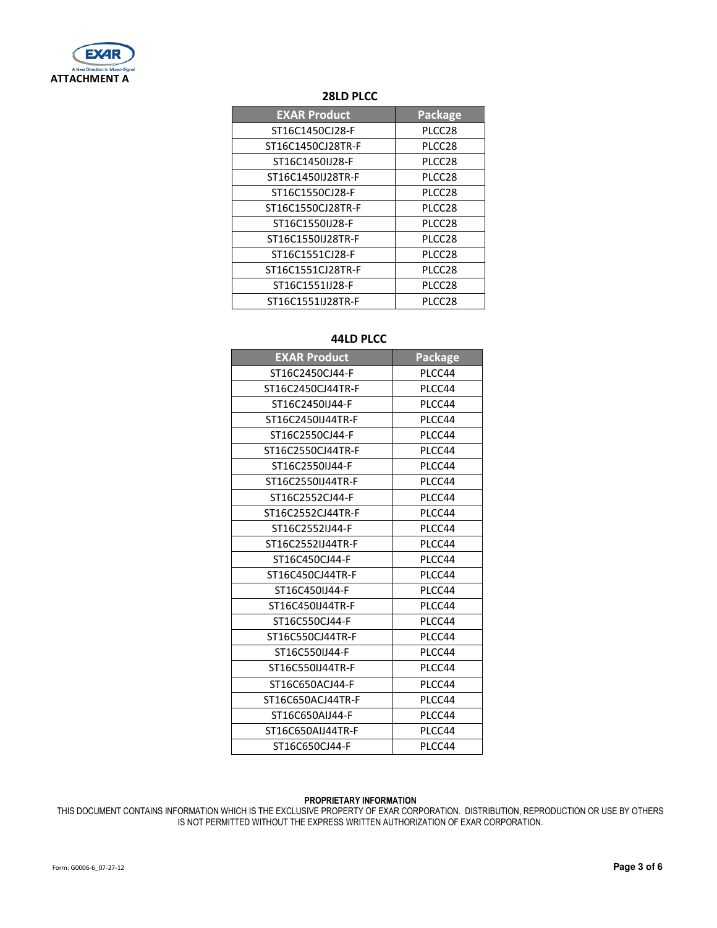

## 28LD PLCC

| <b>EXAR Product</b> | Package |
|---------------------|---------|
| ST16C1450CJ28-F     | PLCC28  |
| ST16C1450CJ28TR-F   | PLCC28  |
| ST16C1450IJ28-F     | PLCC28  |
| ST16C1450IJ28TR-F   | PLCC28  |
| ST16C1550CJ28-F     | PLCC28  |
| ST16C1550CJ28TR-F   | PLCC28  |
| ST16C1550IJ28-F     | PLCC28  |
| ST16C1550IJ28TR-F   | PLCC28  |
| ST16C1551CJ28-F     | PLCC28  |
| ST16C1551CJ28TR-F   | PLCC28  |
| ST16C1551IJ28-F     | PLCC28  |
| ST16C1551IJ28TR-F   | PLCC28  |

## 44LD PLCC

| <b>EXAR Product</b> | <b>Package</b> |
|---------------------|----------------|
| ST16C2450CJ44-F     | PLCC44         |
| ST16C2450CJ44TR-F   | PLCC44         |
| ST16C2450IJ44-F     | PLCC44         |
| ST16C2450IJ44TR-F   | PLCC44         |
| ST16C2550CJ44-F     | PLCC44         |
| ST16C2550CJ44TR-F   | PLCC44         |
| ST16C2550IJ44-F     | PLCC44         |
| ST16C2550IJ44TR-F   | PLCC44         |
| ST16C2552CJ44-F     | PLCC44         |
| ST16C2552CJ44TR-F   | PLCC44         |
| ST16C2552IJ44-F     | PLCC44         |
| ST16C2552IJ44TR-F   | PLCC44         |
| ST16C450CJ44-F      | PLCC44         |
| ST16C450CJ44TR-F    | PLCC44         |
| ST16C450IJ44-F      | PLCC44         |
| ST16C450IJ44TR-F    | PLCC44         |
| ST16C550CJ44-F      | PLCC44         |
| ST16C550CJ44TR-F    | PLCC44         |
| ST16C550IJ44-F      | PLCC44         |
| ST16C550IJ44TR-F    | PLCC44         |
| ST16C650ACJ44-F     | PLCC44         |
| ST16C650ACJ44TR-F   | PLCC44         |
| ST16C650AIJ44-F     | PLCC44         |
| ST16C650AIJ44TR-F   | PLCC44         |
| ST16C650CJ44-F      | PLCC44         |

#### PROPRIETARY INFORMATION

THIS DOCUMENT CONTAINS INFORMATION WHICH IS THE EXCLUSIVE PROPERTY OF EXAR CORPORATION. DISTRIBUTION, REPRODUCTION OR USE BY OTHERS IS NOT PERMITTED WITHOUT THE EXPRESS WRITTEN AUTHORIZATION OF EXAR CORPORATION. ֖֖֪ׅ֪֪֪֪֪֪֪ׅ֦֪֪ׅ֪֪ׅ֚֚֚֚֚֚֚֚֚֚֚֚֚֚֚֚֚֚֚֚֚֡֬֡֡֡֝֬֝֬֝֓֝֟֓֡֡֡֓֡֡֝֬֝֬֝֓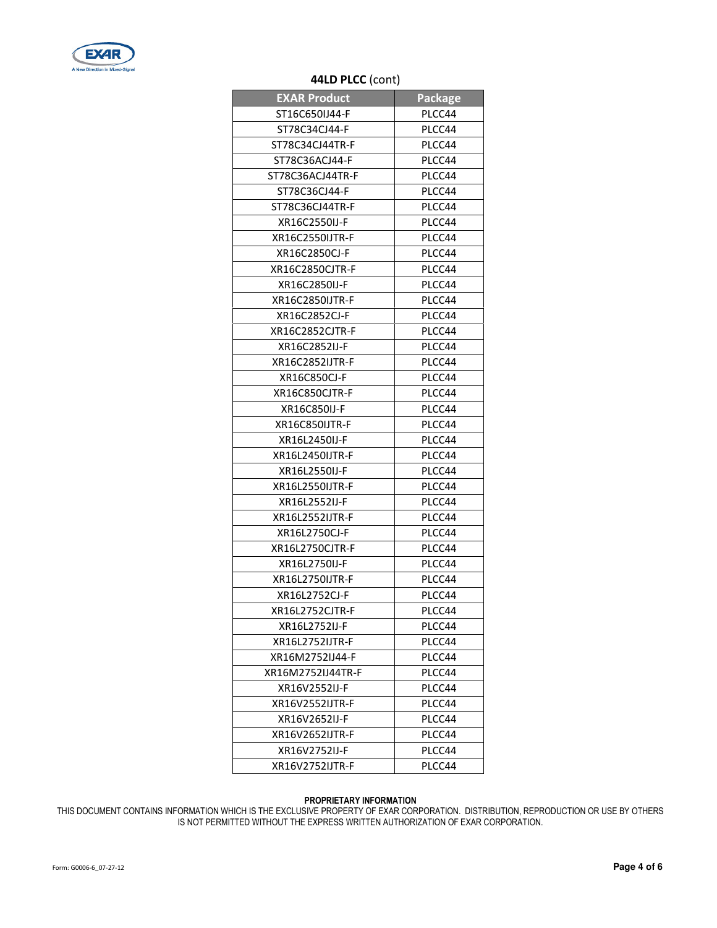

## 44LD PLCC (cont)

| <b>EXAR Product</b> | <b>Package</b> |
|---------------------|----------------|
| ST16C650IJ44-F      | PLCC44         |
| ST78C34CJ44-F       | PLCC44         |
| ST78C34CJ44TR-F     | PLCC44         |
| ST78C36ACJ44-F      | PLCC44         |
| ST78C36ACJ44TR-F    | PLCC44         |
| ST78C36CJ44-F       | PLCC44         |
| ST78C36CJ44TR-F     | PLCC44         |
| XR16C2550IJ-F       | PLCC44         |
| XR16C2550IJTR-F     | PLCC44         |
| XR16C2850CJ-F       | PLCC44         |
| XR16C2850CJTR-F     | PLCC44         |
| XR16C2850IJ-F       | PLCC44         |
| XR16C2850IJTR-F     | PLCC44         |
| XR16C2852CJ-F       | PLCC44         |
| XR16C2852CJTR-F     | PLCC44         |
| XR16C2852IJ-F       | PLCC44         |
| XR16C2852IJTR-F     | PLCC44         |
| XR16C850CJ-F        | PLCC44         |
| XR16C850CJTR-F      | PLCC44         |
| XR16C850IJ-F        | PLCC44         |
| XR16C850IJTR-F      | PLCC44         |
| XR16L2450IJ-F       | PLCC44         |
| XR16L2450IJTR-F     | PLCC44         |
| XR16L2550IJ-F       | PLCC44         |
| XR16L2550IJTR-F     | PLCC44         |
| XR16L2552IJ-F       | PLCC44         |
| XR16L2552IJTR-F     | PLCC44         |
| XR16L2750CJ-F       | PLCC44         |
| XR16L2750CJTR-F     | PLCC44         |
| XR16L2750IJ-F       | PLCC44         |
| XR16L2750IJTR-F     | PLCC44         |
| XR16L2752CJ-F       | PLCC44         |
| XR16L2752CJTR-F     | PLCC44         |
| XR16L2752IJ-F       | PLCC44         |
| XR16L2752IJTR-F     | PLCC44         |
| XR16M2752IJ44-F     | PLCC44         |
| XR16M2752IJ44TR-F   | PLCC44         |
| XR16V2552IJ-F       | PLCC44         |
| XR16V2552IJTR-F     | PLCC44         |
| XR16V2652IJ-F       | PLCC44         |
| XR16V2652IJTR-F     | PLCC44         |
| XR16V2752IJ-F       | PLCC44         |
| XR16V2752IJTR-F     | PLCC44         |

#### PROPRIETARY INFORMATION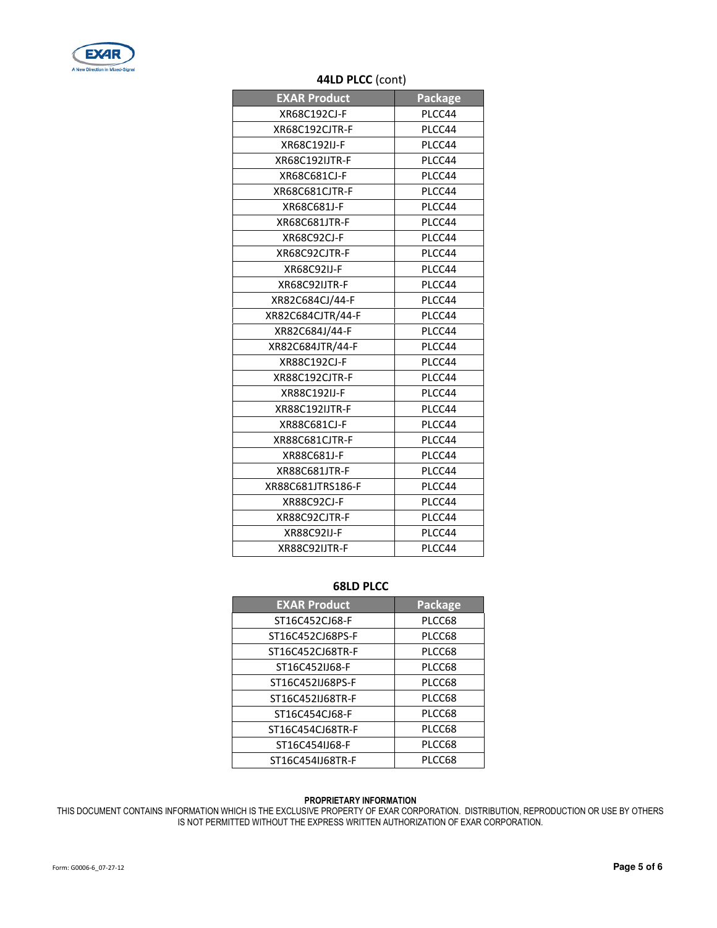

## 44LD PLCC (cont)

| <b>EXAR Product</b>   | <b>Package</b> |
|-----------------------|----------------|
| XR68C192CJ-F          | PLCC44         |
| XR68C192CJTR-F        | PLCC44         |
| XR68C192IJ-F          | PLCC44         |
| <b>XR68C192IJTR-F</b> | PLCC44         |
| XR68C681CJ-F          | PLCC44         |
| XR68C681CJTR-F        | PLCC44         |
| XR68C681J-F           | PLCC44         |
| <b>XR68C681JTR-F</b>  | PLCC44         |
| XR68C92CJ-F           | PLCC44         |
| XR68C92CJTR-F         | PLCC44         |
| <b>XR68C92IJ-F</b>    | PLCC44         |
| XR68C92IJTR-F         | PLCC44         |
| XR82C684CJ/44-F       | PLCC44         |
| XR82C684CJTR/44-F     | PLCC44         |
| XR82C684J/44-F        | PLCC44         |
| XR82C684JTR/44-F      | PLCC44         |
| XR88C192CJ-F          | PLCC44         |
| XR88C192CJTR-F        | PLCC44         |
| XR88C192IJ-F          | PLCC44         |
| <b>XR88C192IJTR-F</b> | PLCC44         |
| XR88C681CJ-F          | PLCC44         |
| XR88C681CJTR-F        | PLCC44         |
| XR88C681J-F           | PLCC44         |
| XR88C681JTR-F         | PLCC44         |
| XR88C681JTRS186-F     | PLCC44         |
| XR88C92CJ-F           | PLCC44         |
| XR88C92CJTR-F         | PLCC44         |
| <b>XR88C92IJ-F</b>    | PLCC44         |
| XR88C92IJTR-F         | PLCC44         |

### 68LD PLCC

| <b>EXAR Product</b> | <b>Package</b> |
|---------------------|----------------|
| ST16C452CJ68-F      | PLCC68         |
| ST16C452CJ68PS-F    | PLCC68         |
| ST16C452CJ68TR-F    | PLCC68         |
| ST16C452IJ68-F      | PLCC68         |
| ST16C452IJ68PS-F    | PLCC68         |
| ST16C452IJ68TR-F    | PLCC68         |
| ST16C454CJ68-F      | PLCC68         |
| ST16C454CJ68TR-F    | PLCC68         |
| ST16C454IJ68-F      | PLCC68         |
| ST16C454IJ68TR-F    | PLCC68         |

#### PROPRIETARY INFORMATION